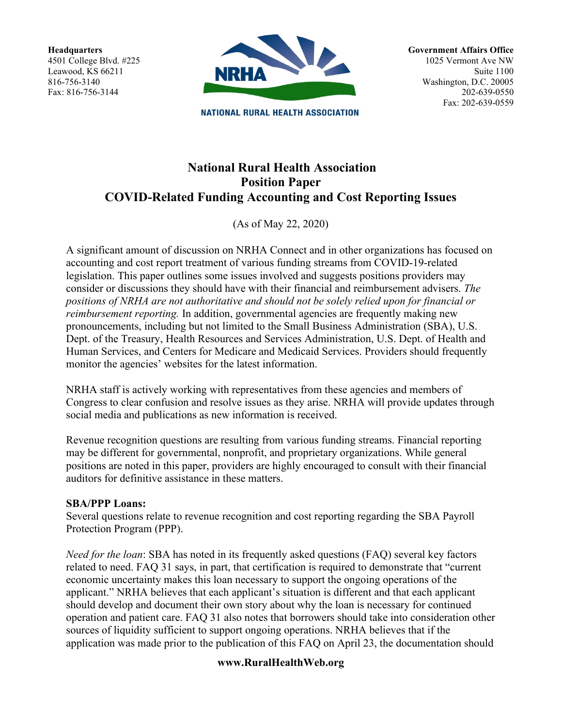**Headquarters** 4501 College Blvd. #225 Leawood, KS 66211 816-756-3140 Fax: 816-756-3144



**NATIONAL RURAL HEALTH ASSOCIATION** 

**Government Affairs Office** 1025 Vermont Ave NW Suite 1100 Washington, D.C. 20005 202-639-0550 Fax: 202-639-0559

# **National Rural Health Association Position Paper COVID-Related Funding Accounting and Cost Reporting Issues**

(As of May 22, 2020)

A significant amount of discussion on NRHA Connect and in other organizations has focused on accounting and cost report treatment of various funding streams from COVID-19-related legislation. This paper outlines some issues involved and suggests positions providers may consider or discussions they should have with their financial and reimbursement advisers. *The positions of NRHA are not authoritative and should not be solely relied upon for financial or reimbursement reporting.* In addition, governmental agencies are frequently making new pronouncements, including but not limited to the Small Business Administration (SBA), U.S. Dept. of the Treasury, Health Resources and Services Administration, U.S. Dept. of Health and Human Services, and Centers for Medicare and Medicaid Services. Providers should frequently monitor the agencies' websites for the latest information.

NRHA staff is actively working with representatives from these agencies and members of Congress to clear confusion and resolve issues as they arise. NRHA will provide updates through social media and publications as new information is received.

Revenue recognition questions are resulting from various funding streams. Financial reporting may be different for governmental, nonprofit, and proprietary organizations. While general positions are noted in this paper, providers are highly encouraged to consult with their financial auditors for definitive assistance in these matters.

#### **SBA/PPP Loans:**

Several questions relate to revenue recognition and cost reporting regarding the SBA Payroll Protection Program (PPP).

*Need for the loan*: SBA has noted in its frequently asked questions (FAQ) several key factors related to need. FAQ 31 says, in part, that certification is required to demonstrate that "current economic uncertainty makes this loan necessary to support the ongoing operations of the applicant." NRHA believes that each applicant's situation is different and that each applicant should develop and document their own story about why the loan is necessary for continued operation and patient care. FAQ 31 also notes that borrowers should take into consideration other sources of liquidity sufficient to support ongoing operations. NRHA believes that if the application was made prior to the publication of this FAQ on April 23, the documentation should

## **www.RuralHealthWeb.org**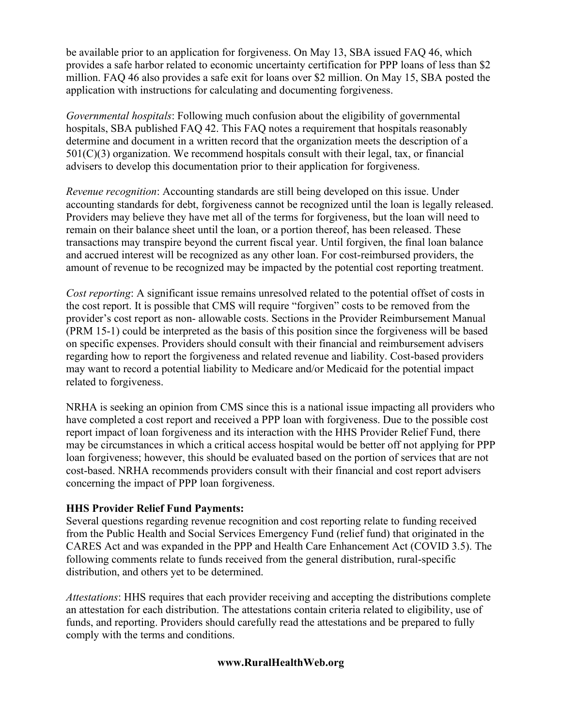be available prior to an application for forgiveness. On May 13, SBA issued FAQ 46, which provides a safe harbor related to economic uncertainty certification for PPP loans of less than \$2 million. FAQ 46 also provides a safe exit for loans over \$2 million. On May 15, SBA posted the application with instructions for calculating and documenting forgiveness.

*Governmental hospitals*: Following much confusion about the eligibility of governmental hospitals, SBA published FAQ 42. This FAQ notes a requirement that hospitals reasonably determine and document in a written record that the organization meets the description of a  $501(C)(3)$  organization. We recommend hospitals consult with their legal, tax, or financial advisers to develop this documentation prior to their application for forgiveness.

*Revenue recognition*: Accounting standards are still being developed on this issue. Under accounting standards for debt, forgiveness cannot be recognized until the loan is legally released. Providers may believe they have met all of the terms for forgiveness, but the loan will need to remain on their balance sheet until the loan, or a portion thereof, has been released. These transactions may transpire beyond the current fiscal year. Until forgiven, the final loan balance and accrued interest will be recognized as any other loan. For cost-reimbursed providers, the amount of revenue to be recognized may be impacted by the potential cost reporting treatment.

*Cost reporting*: A significant issue remains unresolved related to the potential offset of costs in the cost report. It is possible that CMS will require "forgiven" costs to be removed from the provider's cost report as non- allowable costs. Sections in the Provider Reimbursement Manual (PRM 15-1) could be interpreted as the basis of this position since the forgiveness will be based on specific expenses. Providers should consult with their financial and reimbursement advisers regarding how to report the forgiveness and related revenue and liability. Cost-based providers may want to record a potential liability to Medicare and/or Medicaid for the potential impact related to forgiveness.

NRHA is seeking an opinion from CMS since this is a national issue impacting all providers who have completed a cost report and received a PPP loan with forgiveness. Due to the possible cost report impact of loan forgiveness and its interaction with the HHS Provider Relief Fund, there may be circumstances in which a critical access hospital would be better off not applying for PPP loan forgiveness; however, this should be evaluated based on the portion of services that are not cost-based. NRHA recommends providers consult with their financial and cost report advisers concerning the impact of PPP loan forgiveness.

## **HHS Provider Relief Fund Payments:**

Several questions regarding revenue recognition and cost reporting relate to funding received from the Public Health and Social Services Emergency Fund (relief fund) that originated in the CARES Act and was expanded in the PPP and Health Care Enhancement Act (COVID 3.5). The following comments relate to funds received from the general distribution, rural-specific distribution, and others yet to be determined.

*Attestations*: HHS requires that each provider receiving and accepting the distributions complete an attestation for each distribution. The attestations contain criteria related to eligibility, use of funds, and reporting. Providers should carefully read the attestations and be prepared to fully comply with the terms and conditions.

## **www.RuralHealthWeb.org**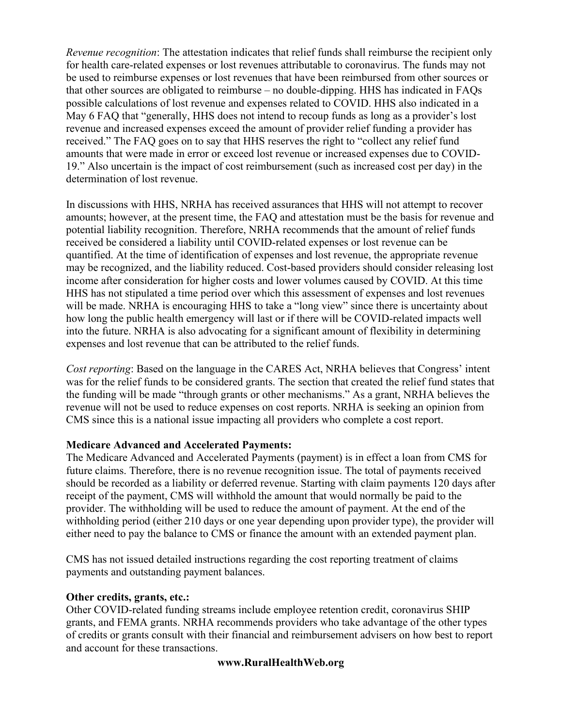*Revenue recognition*: The attestation indicates that relief funds shall reimburse the recipient only for health care-related expenses or lost revenues attributable to coronavirus. The funds may not be used to reimburse expenses or lost revenues that have been reimbursed from other sources or that other sources are obligated to reimburse – no double-dipping. HHS has indicated in FAQs possible calculations of lost revenue and expenses related to COVID. HHS also indicated in a May 6 FAQ that "generally, HHS does not intend to recoup funds as long as a provider's lost revenue and increased expenses exceed the amount of provider relief funding a provider has received." The FAQ goes on to say that HHS reserves the right to "collect any relief fund amounts that were made in error or exceed lost revenue or increased expenses due to COVID-19." Also uncertain is the impact of cost reimbursement (such as increased cost per day) in the determination of lost revenue.

In discussions with HHS, NRHA has received assurances that HHS will not attempt to recover amounts; however, at the present time, the FAQ and attestation must be the basis for revenue and potential liability recognition. Therefore, NRHA recommends that the amount of relief funds received be considered a liability until COVID-related expenses or lost revenue can be quantified. At the time of identification of expenses and lost revenue, the appropriate revenue may be recognized, and the liability reduced. Cost-based providers should consider releasing lost income after consideration for higher costs and lower volumes caused by COVID. At this time HHS has not stipulated a time period over which this assessment of expenses and lost revenues will be made. NRHA is encouraging HHS to take a "long view" since there is uncertainty about how long the public health emergency will last or if there will be COVID-related impacts well into the future. NRHA is also advocating for a significant amount of flexibility in determining expenses and lost revenue that can be attributed to the relief funds.

*Cost reporting*: Based on the language in the CARES Act, NRHA believes that Congress' intent was for the relief funds to be considered grants. The section that created the relief fund states that the funding will be made "through grants or other mechanisms." As a grant, NRHA believes the revenue will not be used to reduce expenses on cost reports. NRHA is seeking an opinion from CMS since this is a national issue impacting all providers who complete a cost report.

#### **Medicare Advanced and Accelerated Payments:**

The Medicare Advanced and Accelerated Payments (payment) is in effect a loan from CMS for future claims. Therefore, there is no revenue recognition issue. The total of payments received should be recorded as a liability or deferred revenue. Starting with claim payments 120 days after receipt of the payment, CMS will withhold the amount that would normally be paid to the provider. The withholding will be used to reduce the amount of payment. At the end of the withholding period (either 210 days or one year depending upon provider type), the provider will either need to pay the balance to CMS or finance the amount with an extended payment plan.

CMS has not issued detailed instructions regarding the cost reporting treatment of claims payments and outstanding payment balances.

## **Other credits, grants, etc.:**

Other COVID-related funding streams include employee retention credit, coronavirus SHIP grants, and FEMA grants. NRHA recommends providers who take advantage of the other types of credits or grants consult with their financial and reimbursement advisers on how best to report and account for these transactions.

## **www.RuralHealthWeb.org**